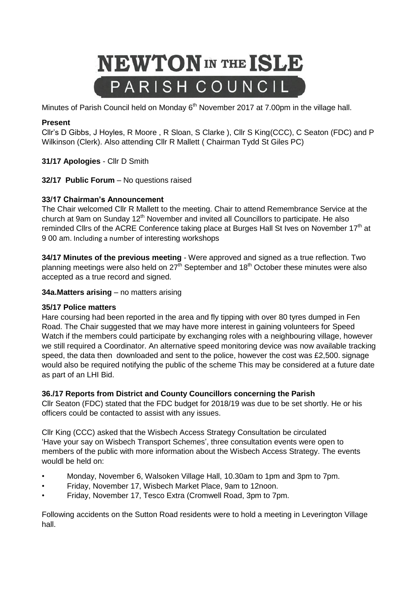# **NEWTON** IN THE ISLE PARISH COUNCIL

Minutes of Parish Council held on Monday 6<sup>th</sup> November 2017 at 7.00pm in the village hall.

# **Present**

Cllr's D Gibbs, J Hoyles, R Moore , R Sloan, S Clarke ), Cllr S King(CCC), C Seaton (FDC) and P Wilkinson (Clerk). Also attending Cllr R Mallett ( Chairman Tydd St Giles PC)

**31/17 Apologies** - Cllr D Smith

**32/17 Public Forum** – No questions raised

## **33/17 Chairman's Announcement**

The Chair welcomed Cllr R Mallett to the meeting. Chair to attend Remembrance Service at the church at 9am on Sunday  $12<sup>th</sup>$  November and invited all Councillors to participate. He also reminded Cllrs of the ACRE Conference taking place at Burges Hall St Ives on November 17<sup>th</sup> at 9 00 am. Including a number of interesting workshops

**34/17 Minutes of the previous meeting** - Were approved and signed as a true reflection. Two planning meetings were also held on  $27<sup>th</sup>$  September and 18<sup>th</sup> October these minutes were also accepted as a true record and signed.

**34a.Matters arising** – no matters arising

#### **35/17 Police matters**

Hare coursing had been reported in the area and fly tipping with over 80 tyres dumped in Fen Road. The Chair suggested that we may have more interest in gaining volunteers for Speed Watch if the members could participate by exchanging roles with a neighbouring village, however we still required a Coordinator. An alternative speed monitoring device was now available tracking speed, the data then downloaded and sent to the police, however the cost was £2,500. signage would also be required notifying the public of the scheme This may be considered at a future date as part of an LHI Bid.

#### **36./17 Reports from District and County Councillors concerning the Parish**

Cllr Seaton (FDC) stated that the FDC budget for 2018/19 was due to be set shortly. He or his officers could be contacted to assist with any issues.

Cllr King (CCC) asked that the Wisbech Access Strategy Consultation be circulated 'Have your say on Wisbech Transport Schemes', three consultation events were open to members of the public with more information about the Wisbech Access Strategy. The events wouldl be held on:

- Monday, November 6, Walsoken Village Hall, 10.30am to 1pm and 3pm to 7pm.
- Friday, November 17, Wisbech Market Place, 9am to 12noon.
- Friday, November 17, Tesco Extra (Cromwell Road, 3pm to 7pm.

Following accidents on the Sutton Road residents were to hold a meeting in Leverington Village hall.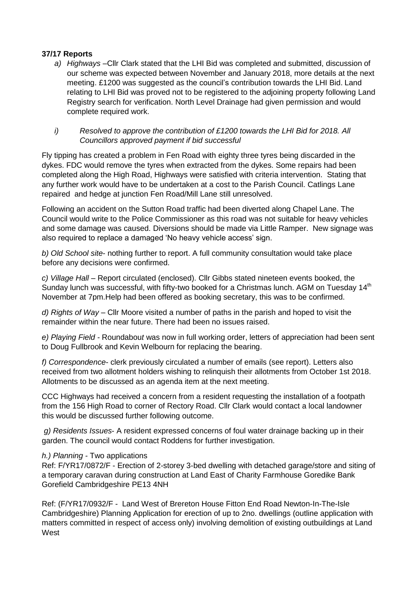#### **37/17 Reports**

- *a) Highways* –Cllr Clark stated that the LHI Bid was completed and submitted, discussion of our scheme was expected between November and January 2018, more details at the next meeting. £1200 was suggested as the council's contribution towards the LHI Bid. Land relating to LHI Bid was proved not to be registered to the adjoining property following Land Registry search for verification. North Level Drainage had given permission and would complete required work.
- *i) Resolved to approve the contribution of £1200 towards the LHI Bid for 2018. All Councillors approved payment if bid successful*

Fly tipping has created a problem in Fen Road with eighty three tyres being discarded in the dykes. FDC would remove the tyres when extracted from the dykes. Some repairs had been completed along the High Road, Highways were satisfied with criteria intervention. Stating that any further work would have to be undertaken at a cost to the Parish Council. Catlings Lane repaired and hedge at junction Fen Road/Mill Lane still unresolved.

Following an accident on the Sutton Road traffic had been diverted along Chapel Lane. The Council would write to the Police Commissioner as this road was not suitable for heavy vehicles and some damage was caused. Diversions should be made via Little Ramper. New signage was also required to replace a damaged 'No heavy vehicle access' sign.

*b) Old School site*- nothing further to report. A full community consultation would take place before any decisions were confirmed.

*c) Village Hall* – Report circulated (enclosed). Cllr Gibbs stated nineteen events booked, the Sunday lunch was successful, with fifty-two booked for a Christmas lunch. AGM on Tuesday 14<sup>th</sup> November at 7pm.Help had been offered as booking secretary, this was to be confirmed.

*d) Rights of Way* – Cllr Moore visited a number of paths in the parish and hoped to visit the remainder within the near future. There had been no issues raised.

*e) Playing Field -* Roundabou*t* was now in full working order, letters of appreciation had been sent to Doug Fullbrook and Kevin Welbourn for replacing the bearing.

*f) Correspondence*- clerk previously circulated a number of emails (see report). Letters also received from two allotment holders wishing to relinquish their allotments from October 1st 2018. Allotments to be discussed as an agenda item at the next meeting.

CCC Highways had received a concern from a resident requesting the installation of a footpath from the 156 High Road to corner of Rectory Road. Cllr Clark would contact a local landowner this would be discussed further following outcome.

*g) Residents Issues*- A resident expressed concerns of foul water drainage backing up in their garden. The council would contact Roddens for further investigation.

#### *h.) Planning -* Two applications

Ref: F/YR17/0872/F - Erection of 2-storey 3-bed dwelling with detached garage/store and siting of a temporary caravan during construction at Land East of Charity Farmhouse Goredike Bank Gorefield Cambridgeshire PE13 4NH

Ref: (F/YR17/0932/F - Land West of Brereton House Fitton End Road Newton-In-The-Isle Cambridgeshire) Planning Application for erection of up to 2no. dwellings (outline application with matters committed in respect of access only) involving demolition of existing outbuildings at Land **West**